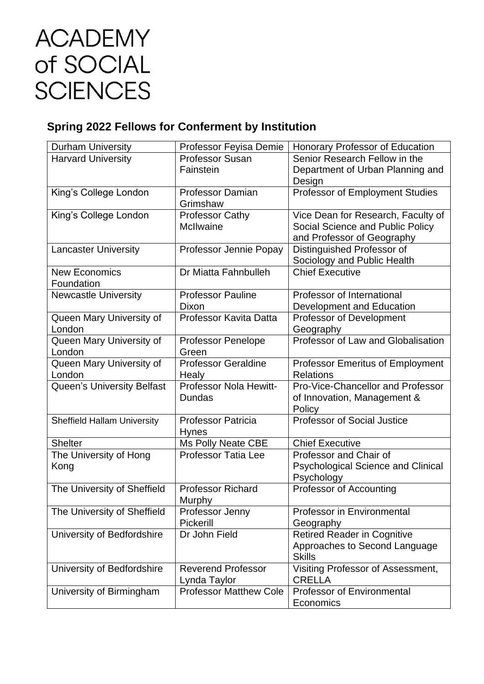## **ACADEMY** of SOCIAL **SCIENCES**

## **Spring 2022 Fellows for Conferment by Institution**

| <b>Durham University</b>           | Professor Feyisa Demie        | <b>Honorary Professor of Education</b>    |
|------------------------------------|-------------------------------|-------------------------------------------|
| <b>Harvard University</b>          | <b>Professor Susan</b>        | Senior Research Fellow in the             |
|                                    | Fainstein                     | Department of Urban Planning and          |
|                                    |                               | Design                                    |
| King's College London              | <b>Professor Damian</b>       | Professor of Employment Studies           |
|                                    | Grimshaw                      |                                           |
| King's College London              | <b>Professor Cathy</b>        | Vice Dean for Research, Faculty of        |
|                                    | <b>McIlwaine</b>              | Social Science and Public Policy          |
|                                    |                               | and Professor of Geography                |
| <b>Lancaster University</b>        | Professor Jennie Popay        | Distinguished Professor of                |
|                                    |                               | Sociology and Public Health               |
| <b>New Economics</b>               | Dr Miatta Fahnbulleh          | <b>Chief Executive</b>                    |
| Foundation                         |                               |                                           |
| <b>Newcastle University</b>        | <b>Professor Pauline</b>      | Professor of International                |
|                                    | Dixon                         | Development and Education                 |
| Queen Mary University of           | Professor Kavita Datta        | Professor of Development                  |
| London                             |                               | Geography                                 |
| Queen Mary University of           | <b>Professor Penelope</b>     | Professor of Law and Globalisation        |
| London                             | Green                         |                                           |
| Queen Mary University of           | <b>Professor Geraldine</b>    | <b>Professor Emeritus of Employment</b>   |
| London                             | Healy                         | <b>Relations</b>                          |
| Queen's University Belfast         | Professor Nola Hewitt-        | Pro-Vice-Chancellor and Professor         |
|                                    | Dundas                        | of Innovation, Management &               |
|                                    |                               | Policy                                    |
| <b>Sheffield Hallam University</b> | Professor Patricia            | <b>Professor of Social Justice</b>        |
|                                    | <b>Hynes</b>                  |                                           |
| <b>Shelter</b>                     | <b>Ms Polly Neate CBE</b>     | <b>Chief Executive</b>                    |
| The University of Hong             | <b>Professor Tatia Lee</b>    | Professor and Chair of                    |
| Kong                               |                               | <b>Psychological Science and Clinical</b> |
|                                    |                               | Psychology                                |
| The University of Sheffield        | <b>Professor Richard</b>      | Professor of Accounting                   |
|                                    | Murphy                        |                                           |
| The University of Sheffield        | Professor Jenny               | <b>Professor in Environmental</b>         |
|                                    | Pickerill                     | Geography                                 |
| University of Bedfordshire         | Dr John Field                 | <b>Retired Reader in Cognitive</b>        |
|                                    |                               | Approaches to Second Language             |
|                                    |                               | <b>Skills</b>                             |
| University of Bedfordshire         | <b>Reverend Professor</b>     | Visiting Professor of Assessment,         |
|                                    | Lynda Taylor                  | <b>CRELLA</b>                             |
| University of Birmingham           | <b>Professor Matthew Cole</b> | <b>Professor of Environmental</b>         |
|                                    |                               | Economics                                 |